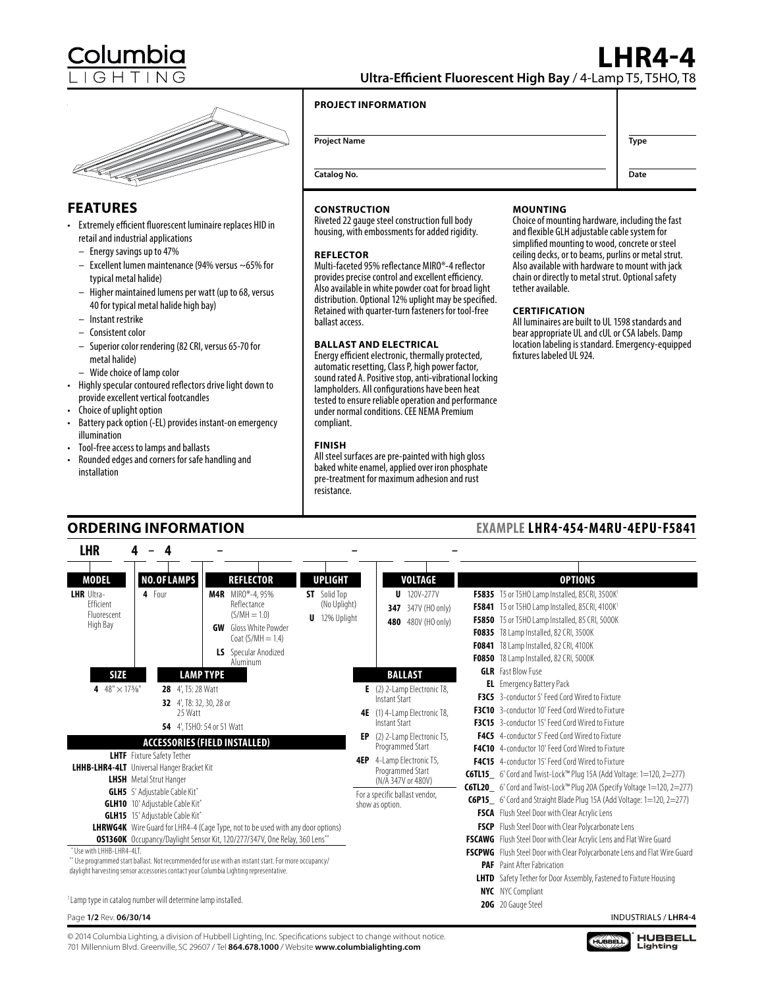# **FEATURES**

- Extremely efficient fluorescent luminaire replaces HID in retail and industrial applications
	- Energy savings up to 47%
	- Excellent lumen maintenance (94% versus ~65% for typical metal halide)
	- Higher maintained lumens per watt (up to 68, versus 40 for typical metal halide high bay)
	- Instant restrike
	- Consistent color
	- Superior color rendering (82 CRI, versus 65-70 for metal halide)
	- Wide choice of lamp color
- Highly specular contoured reflectors drive light down to provide excellent vertical footcandles
- Choice of uplight option

**LHR**

- Battery pack option (-EL) provides instant-on emergency illumination
- Tool-free access to lamps and ballasts
- Rounded edges and corners for safe handling and installation

**ORDERING INFORMATION**

**– – 4**

# **CONSTRUCTION**

Riveted 22 gauge steel construction full body housing, with embossments for added rigidity.

## **REFLECTOR**

Multi-faceted 95% reflectance MIRO®-4 reflector provides precise control and excellent efficiency. Also available in white powder coat for broad light distribution. Optional 12% uplight may be specified. Retained with quarter-turn fasteners for tool-free ballast access.

## **BALLAST AND ELECTRICAL**

Energy efficient electronic, thermally protected, automatic resetting, Class P, high power factor, sound rated A. Positive stop, anti-vibrational locking lampholders. All configurations have been heat tested to ensure reliable operation and performance under normal conditions. CEE NEMA Premium compliant.

### **FINISH**

**4 –**

All steel surfaces are pre-painted with high gloss baked white enamel, applied over iron phosphate pre-treatment for maximum adhesion and rust resistance.

### **MOUNTING**

Choice of mounting hardware, including the fast and flexible GLH adjustable cable system for simplified mounting to wood, concrete or steel ceiling decks, or to beams, purlins or metal strut. Also available with hardware to mount with jack chain or directly to metal strut. Optional safety tether available.

### **CERTIFICATION**

All luminaires are built to UL 1598 standards and bear appropriate UL and cUL or CSA labels. Damp location labeling is standard. Emergency-equipped fixtures labeled UL 924.

| <b>NO.OF LAMPS</b><br><b>MODEL</b><br><b>REFLECTOR</b><br><b>UPLIGHT</b>                                                   |     | VOLTAGE                                       | <b>OPTIONS</b>                                                                                                                                          |
|----------------------------------------------------------------------------------------------------------------------------|-----|-----------------------------------------------|---------------------------------------------------------------------------------------------------------------------------------------------------------|
| <b>M4R</b> MIRO®-4,95%<br><b>LHR</b> Ultra-<br>4 Four<br><b>ST</b> Solid Top<br>Efficient<br>Reflectance<br>(No Uplight)   |     | $U$ 120V-277V<br>347V (HO only)<br>347        | F5835 T5 or T5HO Lamp Installed, 85CRI, 3500K <sup>1</sup><br><b>F5841</b> T5 or T5HO Lamp Installed, 85CRI, 4100K <sup>1</sup>                         |
| $(S/MH = 1.0)$<br>Fluorescent<br><b>U</b> 12% Uplight<br>High Bay<br><b>GW</b> Gloss White Powder                          |     | 480V (HO only)<br>480                         | F5850 T5 or T5HO Lamp Installed, 85 CRI, 5000K                                                                                                          |
| Coat $(S/MH = 1.4)$                                                                                                        |     |                                               | <b>F0835</b> T8 Lamp Installed, 82 CRI, 3500K                                                                                                           |
| <b>LS</b> Specular Anodized                                                                                                |     |                                               | <b>F0841</b> T8 Lamp Installed, 82 CRI, 4100K                                                                                                           |
| Aluminum                                                                                                                   |     |                                               | F0850 T8 Lamp Installed, 82 CRI, 5000K                                                                                                                  |
| <b>SIZE</b><br><b>LAMP TYPE</b>                                                                                            |     | <b>BALLAST</b>                                | <b>GLR</b> Fast Blow Fuse                                                                                                                               |
| 4 $48'' \times 173\frac{1}{8}$<br><b>28</b> 4, T5: 28 Watt                                                                 |     | $E$ (2) 2-Lamp Electronic T8,                 | <b>EL</b> Emergency Battery Pack                                                                                                                        |
| 32 4, T8: 32, 30, 28 or                                                                                                    |     | Instant Start                                 | <b>F3C5</b> 3-conductor 5' Feed Cord Wired to Fixture                                                                                                   |
| 25 Watt                                                                                                                    | 4E  | (1) 4-Lamp Electronic T8,                     | F3C10 3-conductor 10' Feed Cord Wired to Fixture                                                                                                        |
| <b>54</b> 4', T5HO: 54 or 51 Watt                                                                                          |     | Instant Start                                 | <b>F3C15</b> 3-conductor 15' Feed Cord Wired to Fixture                                                                                                 |
| <b>ACCESSORIES (FIELD INSTALLED)</b>                                                                                       | EP  | (2) 2-Lamp Electronic T5,<br>Programmed Start | F4C5 4-conductor 5' Feed Cord Wired to Fixture<br>F4C10 4-conductor 10' Feed Cord Wired to Fixture                                                      |
| <b>LHTF</b> Fixture Safety Tether                                                                                          | 4EP | 4-Lamp Electronic T5,                         | F4C15 4-conductor 15' Feed Cord Wired to Fixture                                                                                                        |
| <b>LHHB-LHR4-4LT</b> Universal Hanger Bracket Kit                                                                          |     | Programmed Start                              |                                                                                                                                                         |
| <b>LHSH</b> Metal Strut Hanger                                                                                             |     | (N/A 347V or 480V)                            | <b>C6TL15</b> 6' Cord and Twist-Lock <sup>™</sup> Plug 15A (Add Voltage: 1=120, 2=277)                                                                  |
| <b>GLH5</b> 5' Adjustable Cable Kit*                                                                                       |     | For a specific ballast vendor,                | C6TL20_ 6' Cord and Twist-Lock™ Plug 20A (Specify Voltage 1=120, 2=277)<br><b>C6P15</b> 6' Cord and Straight Blade Plug 15A (Add Voltage: 1=120, 2=277) |
| <b>GLH10</b> 10' Adjustable Cable Kit*                                                                                     |     | show as option.                               |                                                                                                                                                         |
| <b>GLH15</b> 15' Adjustable Cable Kit*                                                                                     |     |                                               | <b>FSCA</b> Flush Steel Door with Clear Acrylic Lens                                                                                                    |
| <b>LHRWG4K</b> Wire Guard for LHR4-4 (Cage Type, not to be used with any door options)                                     |     |                                               | FSCP Flush Steel Door with Clear Polycarbonate Lens                                                                                                     |
| <b>OS1360K</b> Occupancy/Daylight Sensor Kit, 120/277/347V, One Relay, 360 Lens <sup>**</sup><br>* Use with LHHB-LHR4-4LT. |     |                                               | FSCAWG Flush Steel Door with Clear Acrylic Lens and Flat Wire Guard                                                                                     |
| Use programmed start ballast. Not recommended for use with an instant start. For more occupancy/                           |     |                                               | FSCPWG Flush Steel Door with Clear Polycarbonate Lens and Flat Wire Guard                                                                               |
| オンサート しょうこうしゅう こうこうこう こうこうこう きょうこうしょう エー・アーダー しょうしん おも おおこう こうこうこうしょうせい                                                    |     |                                               | <b>PAF</b> Paint After Fabrication                                                                                                                      |

**–**

\* Use w<br>\*\* Use p daylight harvesting sensor accessories contact your Columbia Lighting representative.

**12** Lamp type in catalog number will determine lamp installed.<br>**20G** 20 Gauge Steel

© 2014 Columbia Lighting, a division of Hubbell Lighting, Inc. Specifications subject to change without notice. 701 Millennium Blvd. Greenville, SC 29607 / Tel **864.678.1000** / Website **www.columbialighting.com**

# **EXAMPLE LHR4-454-M4RU-4EPU-F5841**

**LHTD** Safety Tether for Door Assembly, Fastened to Fixture Housing

**HUBBEL** 

**NYC** NYC Compliant



**HUBBELL**<br>Lighting



**Date**

**Ultra-Efficient Fluorescent High Bay** / 4-Lamp T5, T5HO, T8

## **PROJECT INFORMATION**

**Project Name Type** 

**Catalog No.**